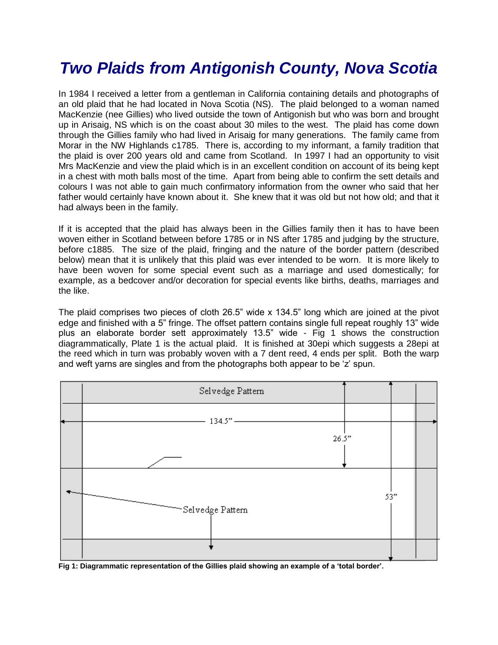## *Two Plaids from Antigonish County, Nova Scotia*

In 1984 I received a letter from a gentleman in California containing details and photographs of an old plaid that he had located in Nova Scotia (NS). The plaid belonged to a woman named MacKenzie (nee Gillies) who lived outside the town of Antigonish but who was born and brought up in Arisaig, NS which is on the coast about 30 miles to the west. The plaid has come down through the Gillies family who had lived in Arisaig for many generations. The family came from Morar in the NW Highlands c1785. There is, according to my informant, a family tradition that the plaid is over 200 years old and came from Scotland. In 1997 I had an opportunity to visit Mrs MacKenzie and view the plaid which is in an excellent condition on account of its being kept in a chest with moth balls most of the time. Apart from being able to confirm the sett details and colours I was not able to gain much confirmatory information from the owner who said that her father would certainly have known about it. She knew that it was old but not how old; and that it had always been in the family.

If it is accepted that the plaid has always been in the Gillies family then it has to have been woven either in Scotland between before 1785 or in NS after 1785 and judging by the structure, before c1885. The size of the plaid, fringing and the nature of the border pattern (described below) mean that it is unlikely that this plaid was ever intended to be worn. It is more likely to have been woven for some special event such as a marriage and used domestically; for example, as a bedcover and/or decoration for special events like births, deaths, marriages and the like.

The plaid comprises two pieces of cloth 26.5" wide x 134.5" long which are joined at the pivot edge and finished with a 5" fringe. The offset pattern contains single full repeat roughly 13" wide plus an elaborate border sett approximately 13.5" wide - Fig 1 shows the construction diagrammatically, Plate 1 is the actual plaid. It is finished at 30epi which suggests a 28epi at the reed which in turn was probably woven with a 7 dent reed, 4 ends per split. Both the warp and weft yarns are singles and from the photographs both appear to be 'z' spun.



**Fig 1: Diagrammatic representation of the Gillies plaid showing an example of a 'total border'.**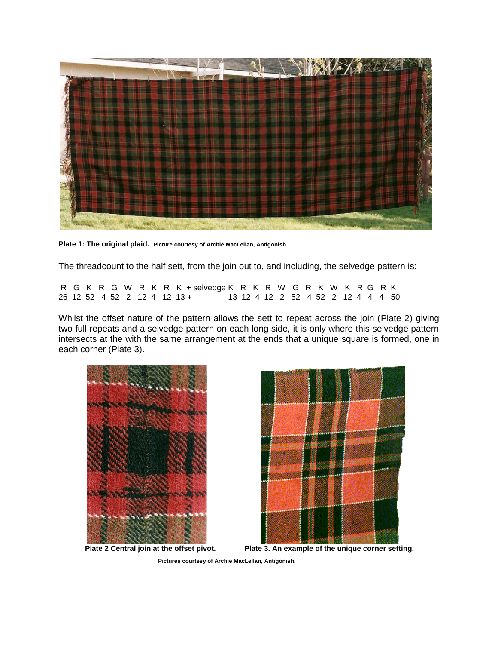

**Plate 1: The original plaid. Picture courtesy of Archie MacLellan, Antigonish.**

The threadcount to the half sett, from the join out to, and including, the selvedge pattern is:

<u>R</u> G K R G W R K R <u>K</u> + selvedge <u>K</u> R K R W G R K W K R G R K<br>26 12 52 4 52 2 12 4 12 13 + 13 12 4 12 2 52 4 52 2 12 4 4 4 50 13 12 4 12 2 52 4 52 2 12 4 4 4 50

Whilst the offset nature of the pattern allows the sett to repeat across the join (Plate 2) giving two full repeats and a selvedge pattern on each long side, it is only where this selvedge pattern intersects at the with the same arrangement at the ends that a unique square is formed, one in each corner (Plate 3).





 **Plate 2 Central join at the offset pivot. Plate 3. An example of the unique corner setting.**

 **Pictures courtesy of Archie MacLellan, Antigonish.**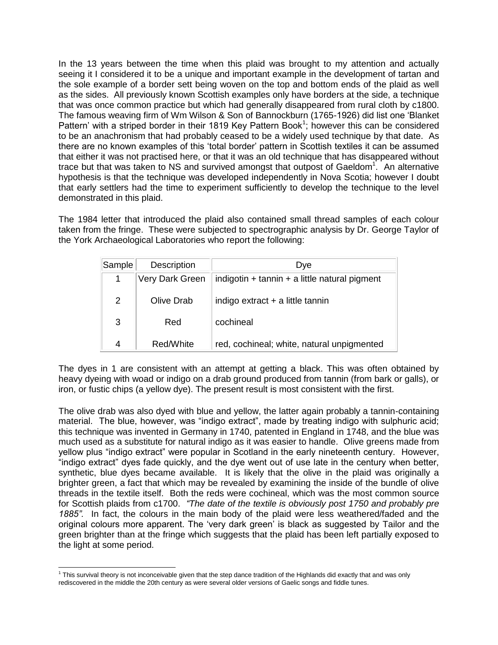In the 13 years between the time when this plaid was brought to my attention and actually seeing it I considered it to be a unique and important example in the development of tartan and the sole example of a border sett being woven on the top and bottom ends of the plaid as well as the sides. All previously known Scottish examples only have borders at the side, a technique that was once common practice but which had generally disappeared from rural cloth by c1800. The famous weaving firm of Wm Wilson & Son of Bannockburn (1765-1926) did list one 'Blanket Pattern' with a striped border in their 1819 Key Pattern Book<sup>1</sup>; however this can be considered to be an anachronism that had probably ceased to be a widely used technique by that date. As there are no known examples of this 'total border' pattern in Scottish textiles it can be assumed that either it was not practised here, or that it was an old technique that has disappeared without trace but that was taken to NS and survived amongst that outpost of Gaeldom<sup>1</sup>. An alternative hypothesis is that the technique was developed independently in Nova Scotia; however I doubt that early settlers had the time to experiment sufficiently to develop the technique to the level demonstrated in this plaid.

The 1984 letter that introduced the plaid also contained small thread samples of each colour taken from the fringe. These were subjected to spectrographic analysis by Dr. George Taylor of the York Archaeological Laboratories who report the following:

| Sample | <b>Description</b> | Dye                                               |
|--------|--------------------|---------------------------------------------------|
| 1      | Very Dark Green    | indigotin $+$ tannin $+$ a little natural pigment |
| 2      | Olive Drab         | indigo extract + a little tannin                  |
| 3      | Red                | cochineal                                         |
| 4      | Red/White          | red, cochineal; white, natural unpigmented        |

The dyes in 1 are consistent with an attempt at getting a black. This was often obtained by heavy dyeing with woad or indigo on a drab ground produced from tannin (from bark or galls), or iron, or fustic chips (a yellow dye). The present result is most consistent with the first.

The olive drab was also dyed with blue and yellow, the latter again probably a tannin-containing material. The blue, however, was "indigo extract", made by treating indigo with sulphuric acid; this technique was invented in Germany in 1740, patented in England in 1748, and the blue was much used as a substitute for natural indigo as it was easier to handle. Olive greens made from yellow plus "indigo extract" were popular in Scotland in the early nineteenth century. However, "indigo extract" dyes fade quickly, and the dye went out of use late in the century when better, synthetic, blue dyes became available. It is likely that the olive in the plaid was originally a brighter green, a fact that which may be revealed by examining the inside of the bundle of olive threads in the textile itself. Both the reds were cochineal, which was the most common source for Scottish plaids from c1700. *"The date of the textile is obviously post 1750 and probably pre 1885".* In fact, the colours in the main body of the plaid were less weathered/faded and the original colours more apparent. The 'very dark green' is black as suggested by Tailor and the green brighter than at the fringe which suggests that the plaid has been left partially exposed to the light at some period.

 $\overline{a}$ <sup>1</sup> This survival theory is not inconceivable given that the step dance tradition of the Highlands did exactly that and was only rediscovered in the middle the 20th century as were several older versions of Gaelic songs and fiddle tunes.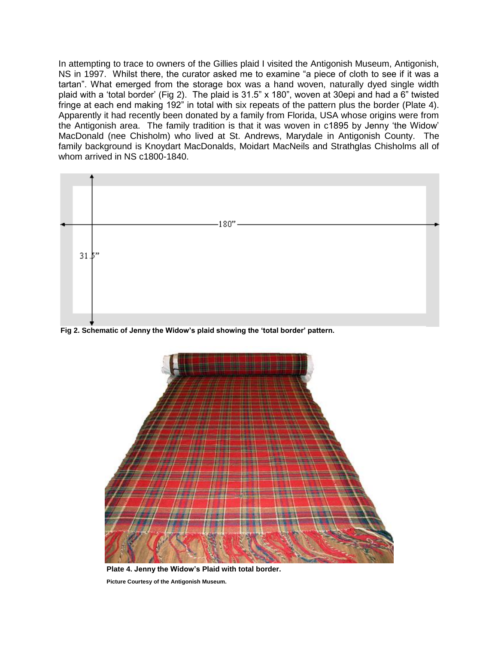In attempting to trace to owners of the Gillies plaid I visited the Antigonish Museum, Antigonish, NS in 1997. Whilst there, the curator asked me to examine "a piece of cloth to see if it was a tartan". What emerged from the storage box was a hand woven, naturally dyed single width plaid with a 'total border' (Fig 2). The plaid is 31.5" x 180", woven at 30epi and had a 6" twisted fringe at each end making 192" in total with six repeats of the pattern plus the border (Plate 4). Apparently it had recently been donated by a family from Florida, USA whose origins were from the Antigonish area. The family tradition is that it was woven in c1895 by Jenny 'the Widow' MacDonald (nee Chisholm) who lived at St. Andrews, Marydale in Antigonish County. The family background is Knoydart MacDonalds, Moidart MacNeils and Strathglas Chisholms all of whom arrived in NS c1800-1840.



**Fig 2. Schematic of Jenny the Widow's plaid showing the 'total border' pattern.**



**Plate 4. Jenny the Widow's Plaid with total border. Picture Courtesy of the Antigonish Museum.**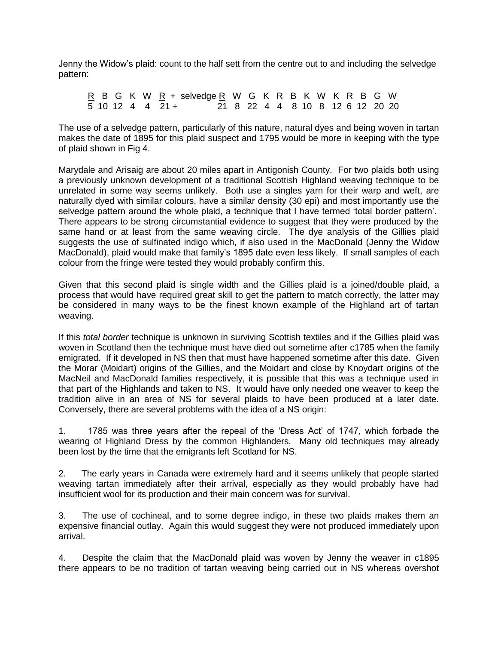Jenny the Widow's plaid: count to the half sett from the centre out to and including the selvedge pattern:

R B G K W R + selvedge R W G K R B K W K R B G W 5 10 12 4 4 21 + 21 8 22 4 4 8 10 8 12 6 12 20 20

The use of a selvedge pattern, particularly of this nature, natural dyes and being woven in tartan makes the date of 1895 for this plaid suspect and 1795 would be more in keeping with the type of plaid shown in Fig 4.

Marydale and Arisaig are about 20 miles apart in Antigonish County. For two plaids both using a previously unknown development of a traditional Scottish Highland weaving technique to be unrelated in some way seems unlikely. Both use a singles yarn for their warp and weft, are naturally dyed with similar colours, have a similar density (30 epi) and most importantly use the selvedge pattern around the whole plaid, a technique that I have termed 'total border pattern'. There appears to be strong circumstantial evidence to suggest that they were produced by the same hand or at least from the same weaving circle. The dye analysis of the Gillies plaid suggests the use of sulfinated indigo which, if also used in the MacDonald (Jenny the Widow MacDonald), plaid would make that family's 1895 date even less likely. If small samples of each colour from the fringe were tested they would probably confirm this.

Given that this second plaid is single width and the Gillies plaid is a joined/double plaid, a process that would have required great skill to get the pattern to match correctly, the latter may be considered in many ways to be the finest known example of the Highland art of tartan weaving.

If this *total border* technique is unknown in surviving Scottish textiles and if the Gillies plaid was woven in Scotland then the technique must have died out sometime after c1785 when the family emigrated. If it developed in NS then that must have happened sometime after this date. Given the Morar (Moidart) origins of the Gillies, and the Moidart and close by Knoydart origins of the MacNeil and MacDonald families respectively, it is possible that this was a technique used in that part of the Highlands and taken to NS. It would have only needed one weaver to keep the tradition alive in an area of NS for several plaids to have been produced at a later date. Conversely, there are several problems with the idea of a NS origin:

1. 1785 was three years after the repeal of the 'Dress Act' of 1747, which forbade the wearing of Highland Dress by the common Highlanders. Many old techniques may already been lost by the time that the emigrants left Scotland for NS.

2. The early years in Canada were extremely hard and it seems unlikely that people started weaving tartan immediately after their arrival, especially as they would probably have had insufficient wool for its production and their main concern was for survival.

3. The use of cochineal, and to some degree indigo, in these two plaids makes them an expensive financial outlay. Again this would suggest they were not produced immediately upon arrival.

4. Despite the claim that the MacDonald plaid was woven by Jenny the weaver in c1895 there appears to be no tradition of tartan weaving being carried out in NS whereas overshot